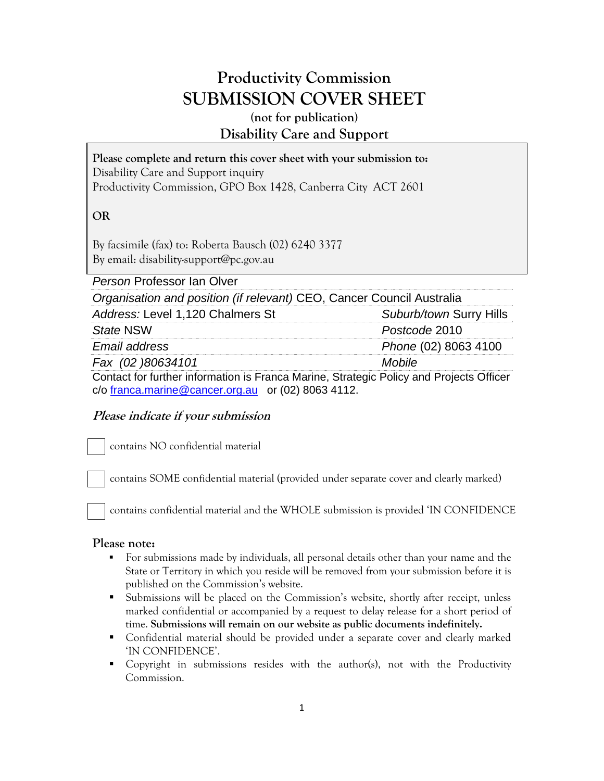# **Productivity Commission SUBMISSION COVER SHEET**

## **(not for publication) Disability Care and Support**

| Please complete and return this cover sheet with your submission to: |
|----------------------------------------------------------------------|
| Disability Care and Support inquiry                                  |
| Productivity Commission, GPO Box 1428, Canberra City ACT 2601        |

## **OR**

By facsimile (fax) to: Roberta Bausch (02) 6240 3377 By email: disability-support@pc.gov.au

| Person Professor Ian Olver                                                                                                                    |                         |
|-----------------------------------------------------------------------------------------------------------------------------------------------|-------------------------|
| Organisation and position (if relevant) CEO, Cancer Council Australia                                                                         |                         |
| Address: Level 1,120 Chalmers St                                                                                                              | Suburb/town Surry Hills |
| <b>State NSW</b>                                                                                                                              | Postcode 2010           |
| Email address                                                                                                                                 | Phone (02) 8063 4100    |
| Fax (02 )80634101                                                                                                                             | Mobile                  |
| Contact for further information is Franca Marine, Strategic Policy and Projects Officer<br>c/o franca.marine@cancer.org.au or (02) 8063 4112. |                         |

## **Please indicate if your submission**

contains NO confidential material

contains SOME confidential material (provided under separate cover and clearly marked)

contains confidential material and the WHOLE submission is provided 'IN CONFIDENCE

### **Please note:**

- For submissions made by individuals, all personal details other than your name and the State or Territory in which you reside will be removed from your submission before it is published on the Commission's website.
- Submissions will be placed on the Commission's website, shortly after receipt, unless marked confidential or accompanied by a request to delay release for a short period of time. **Submissions will remain on our website as public documents indefinitely.**
- Confidential material should be provided under a separate cover and clearly marked 'IN CONFIDENCE'.
- Copyright in submissions resides with the author(s), not with the Productivity Commission.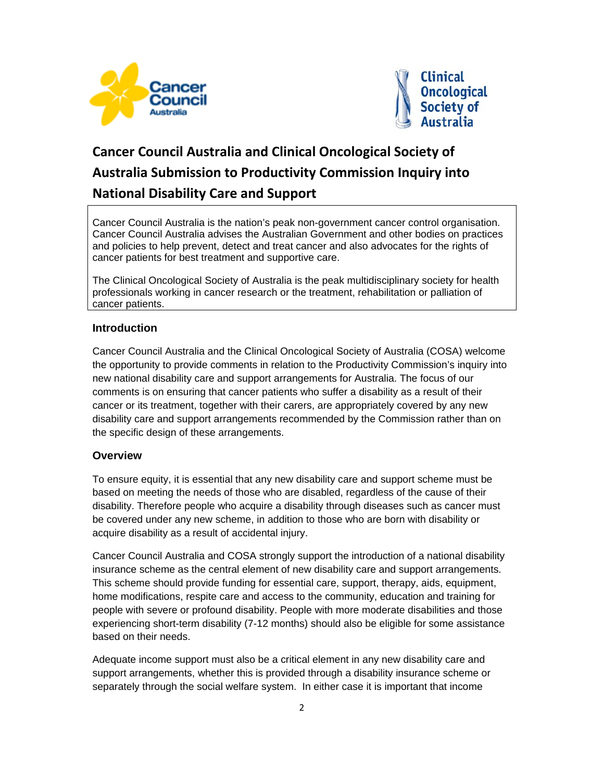



# **Cancer Council Australia and Clinical Oncological Society of Australia Submission to Productivity Commission Inquiry into National Disability Care and Support**

Cancer Council Australia is the nation's peak non-government cancer control organisation. Cancer Council Australia advises the Australian Government and other bodies on practices and policies to help prevent, detect and treat cancer and also advocates for the rights of cancer patients for best treatment and supportive care.

The Clinical Oncological Society of Australia is the peak multidisciplinary society for health professionals working in cancer research or the treatment, rehabilitation or palliation of cancer patients.

#### **Introduction**

Cancer Council Australia and the Clinical Oncological Society of Australia (COSA) welcome the opportunity to provide comments in relation to the Productivity Commission's inquiry into new national disability care and support arrangements for Australia. The focus of our comments is on ensuring that cancer patients who suffer a disability as a result of their cancer or its treatment, together with their carers, are appropriately covered by any new disability care and support arrangements recommended by the Commission rather than on the specific design of these arrangements.

### **Overview**

To ensure equity, it is essential that any new disability care and support scheme must be based on meeting the needs of those who are disabled, regardless of the cause of their disability. Therefore people who acquire a disability through diseases such as cancer must be covered under any new scheme, in addition to those who are born with disability or acquire disability as a result of accidental injury.

Cancer Council Australia and COSA strongly support the introduction of a national disability insurance scheme as the central element of new disability care and support arrangements. This scheme should provide funding for essential care, support, therapy, aids, equipment, home modifications, respite care and access to the community, education and training for people with severe or profound disability. People with more moderate disabilities and those experiencing short-term disability (7-12 months) should also be eligible for some assistance based on their needs.

Adequate income support must also be a critical element in any new disability care and support arrangements, whether this is provided through a disability insurance scheme or separately through the social welfare system. In either case it is important that income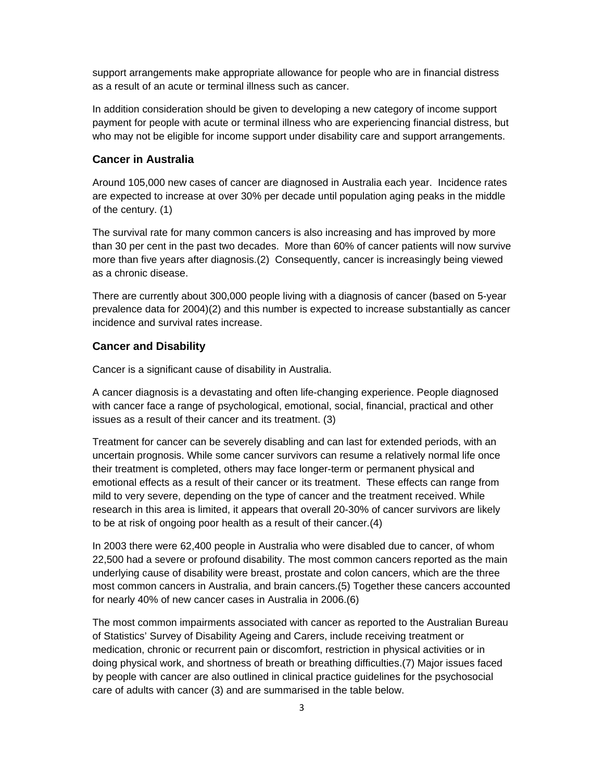support arrangements make appropriate allowance for people who are in financial distress as a result of an acute or terminal illness such as cancer.

In addition consideration should be given to developing a new category of income support payment for people with acute or terminal illness who are experiencing financial distress, but who may not be eligible for income support under disability care and support arrangements.

#### **Cancer in Australia**

Around 105,000 new cases of cancer are diagnosed in Australia each year. Incidence rates are expected to increase at over 30% per decade until population aging peaks in the middle of the century. (1)

The survival rate for many common cancers is also increasing and has improved by more than 30 per cent in the past two decades. More than 60% of cancer patients will now survive more than five years after diagnosis.(2) Consequently, cancer is increasingly being viewed as a chronic disease.

There are currently about 300,000 people living with a diagnosis of cancer (based on 5-year prevalence data for 2004)(2) and this number is expected to increase substantially as cancer incidence and survival rates increase.

#### **Cancer and Disability**

Cancer is a significant cause of disability in Australia.

A cancer diagnosis is a devastating and often life-changing experience. People diagnosed with cancer face a range of psychological, emotional, social, financial, practical and other issues as a result of their cancer and its treatment. (3)

Treatment for cancer can be severely disabling and can last for extended periods, with an uncertain prognosis. While some cancer survivors can resume a relatively normal life once their treatment is completed, others may face longer-term or permanent physical and emotional effects as a result of their cancer or its treatment. These effects can range from mild to very severe, depending on the type of cancer and the treatment received. While research in this area is limited, it appears that overall 20-30% of cancer survivors are likely to be at risk of ongoing poor health as a result of their cancer.(4)

In 2003 there were 62,400 people in Australia who were disabled due to cancer, of whom 22,500 had a severe or profound disability. The most common cancers reported as the main underlying cause of disability were breast, prostate and colon cancers, which are the three most common cancers in Australia, and brain cancers.(5) Together these cancers accounted for nearly 40% of new cancer cases in Australia in 2006.(6)

The most common impairments associated with cancer as reported to the Australian Bureau of Statistics' Survey of Disability Ageing and Carers, include receiving treatment or medication, chronic or recurrent pain or discomfort, restriction in physical activities or in doing physical work, and shortness of breath or breathing difficulties.(7) Major issues faced by people with cancer are also outlined in clinical practice guidelines for the psychosocial care of adults with cancer (3) and are summarised in the table below.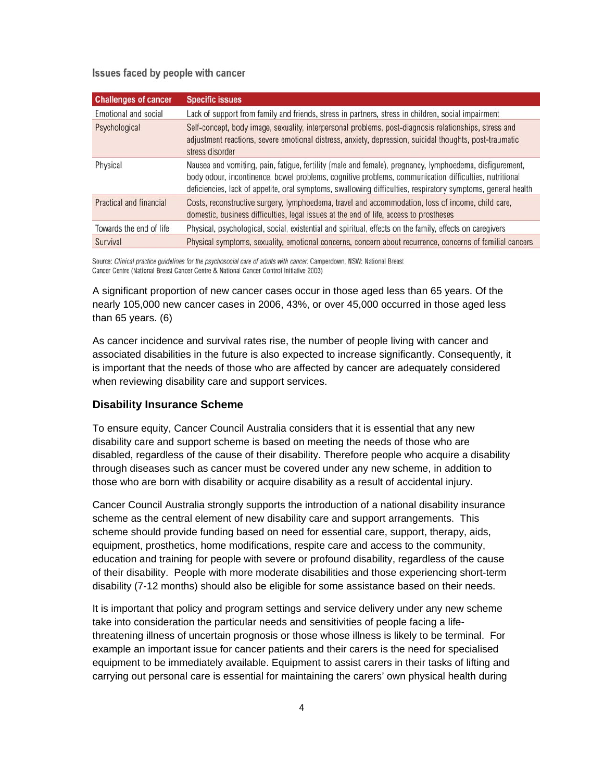Issues faced by people with cancer

| <b>Challenges of cancer</b> | <b>Specific issues</b>                                                                                                                                                                                                                                                                                                           |
|-----------------------------|----------------------------------------------------------------------------------------------------------------------------------------------------------------------------------------------------------------------------------------------------------------------------------------------------------------------------------|
| Emotional and social        | Lack of support from family and friends, stress in partners, stress in children, social impairment                                                                                                                                                                                                                               |
| Psychological               | Self-concept, body image, sexuality, interpersonal problems, post-diagnosis relationships, stress and<br>adjustment reactions, severe emotional distress, anxiety, depression, suicidal thoughts, post-traumatic<br>stress disorder                                                                                              |
| Physical                    | Nausea and vomiting, pain, fatigue, fertility (male and female), pregnancy, lymphoedema, disfigurement,<br>body odour, incontinence, bowel problems, cognitive problems, communication difficulties, nutritional<br>deficiencies, lack of appetite, oral symptoms, swallowing difficulties, respiratory symptoms, general health |
| Practical and financial     | Costs, reconstructive surgery, lymphoedema, travel and accommodation, loss of income, child care,<br>domestic, business difficulties, legal issues at the end of life, access to prostheses                                                                                                                                      |
| Towards the end of life     | Physical, psychological, social, existential and spiritual, effects on the family, effects on caregivers                                                                                                                                                                                                                         |
| Survival                    | Physical symptoms, sexuality, emotional concerns, concern about recurrence, concerns of familial cancers                                                                                                                                                                                                                         |

Source: Clinical practice quidelines for the psychosocial care of adults with cancer. Camperdown, NSW: National Breast Cancer Centre (National Breast Cancer Centre & National Cancer Control Initiative 2003)

A significant proportion of new cancer cases occur in those aged less than 65 years. Of the nearly 105,000 new cancer cases in 2006, 43%, or over 45,000 occurred in those aged less than 65 years. (6)

As cancer incidence and survival rates rise, the number of people living with cancer and associated disabilities in the future is also expected to increase significantly. Consequently, it is important that the needs of those who are affected by cancer are adequately considered when reviewing disability care and support services.

#### **Disability Insurance Scheme**

To ensure equity, Cancer Council Australia considers that it is essential that any new disability care and support scheme is based on meeting the needs of those who are disabled, regardless of the cause of their disability. Therefore people who acquire a disability through diseases such as cancer must be covered under any new scheme, in addition to those who are born with disability or acquire disability as a result of accidental injury.

Cancer Council Australia strongly supports the introduction of a national disability insurance scheme as the central element of new disability care and support arrangements. This scheme should provide funding based on need for essential care, support, therapy, aids, equipment, prosthetics, home modifications, respite care and access to the community, education and training for people with severe or profound disability, regardless of the cause of their disability. People with more moderate disabilities and those experiencing short-term disability (7-12 months) should also be eligible for some assistance based on their needs.

It is important that policy and program settings and service delivery under any new scheme take into consideration the particular needs and sensitivities of people facing a lifethreatening illness of uncertain prognosis or those whose illness is likely to be terminal. For example an important issue for cancer patients and their carers is the need for specialised equipment to be immediately available. Equipment to assist carers in their tasks of lifting and carrying out personal care is essential for maintaining the carers' own physical health during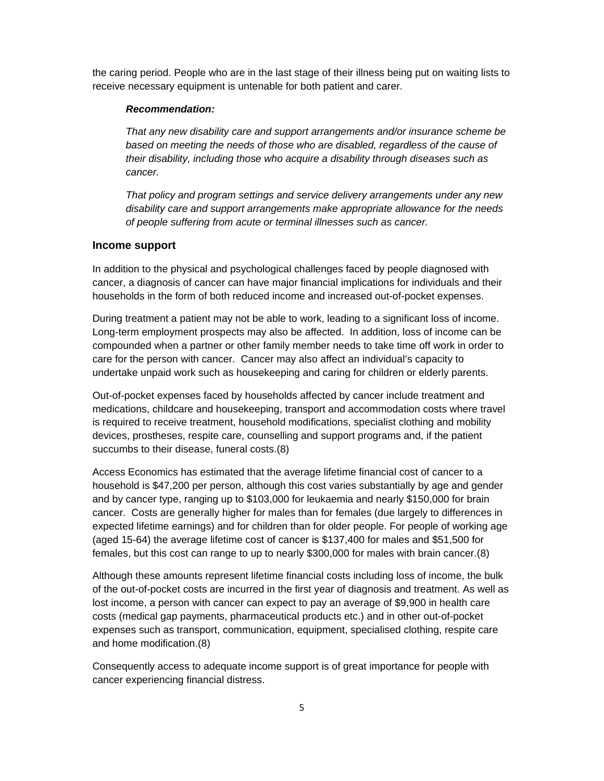the caring period. People who are in the last stage of their illness being put on waiting lists to receive necessary equipment is untenable for both patient and carer.

#### *Recommendation:*

*That any new disability care and support arrangements and/or insurance scheme be*  based on meeting the needs of those who are disabled, regardless of the cause of *their disability, including those who acquire a disability through diseases such as cancer.* 

*That policy and program settings and service delivery arrangements under any new disability care and support arrangements make appropriate allowance for the needs of people suffering from acute or terminal illnesses such as cancer.* 

#### **Income support**

In addition to the physical and psychological challenges faced by people diagnosed with cancer, a diagnosis of cancer can have major financial implications for individuals and their households in the form of both reduced income and increased out-of-pocket expenses.

During treatment a patient may not be able to work, leading to a significant loss of income. Long-term employment prospects may also be affected. In addition, loss of income can be compounded when a partner or other family member needs to take time off work in order to care for the person with cancer. Cancer may also affect an individual's capacity to undertake unpaid work such as housekeeping and caring for children or elderly parents.

Out-of-pocket expenses faced by households affected by cancer include treatment and medications, childcare and housekeeping, transport and accommodation costs where travel is required to receive treatment, household modifications, specialist clothing and mobility devices, prostheses, respite care, counselling and support programs and, if the patient succumbs to their disease, funeral costs.(8)

Access Economics has estimated that the average lifetime financial cost of cancer to a household is \$47,200 per person, although this cost varies substantially by age and gender and by cancer type, ranging up to \$103,000 for leukaemia and nearly \$150,000 for brain cancer. Costs are generally higher for males than for females (due largely to differences in expected lifetime earnings) and for children than for older people. For people of working age (aged 15-64) the average lifetime cost of cancer is \$137,400 for males and \$51,500 for females, but this cost can range to up to nearly \$300,000 for males with brain cancer.(8)

Although these amounts represent lifetime financial costs including loss of income, the bulk of the out-of-pocket costs are incurred in the first year of diagnosis and treatment. As well as lost income, a person with cancer can expect to pay an average of \$9,900 in health care costs (medical gap payments, pharmaceutical products etc.) and in other out-of-pocket expenses such as transport, communication, equipment, specialised clothing, respite care and home modification.(8)

Consequently access to adequate income support is of great importance for people with cancer experiencing financial distress.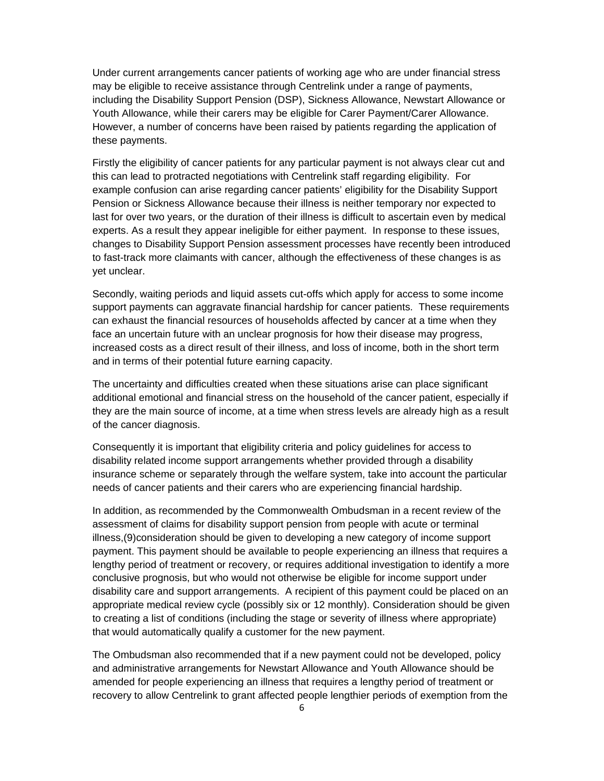Under current arrangements cancer patients of working age who are under financial stress may be eligible to receive assistance through Centrelink under a range of payments, including the Disability Support Pension (DSP), Sickness Allowance, Newstart Allowance or Youth Allowance, while their carers may be eligible for Carer Payment/Carer Allowance. However, a number of concerns have been raised by patients regarding the application of these payments.

Firstly the eligibility of cancer patients for any particular payment is not always clear cut and this can lead to protracted negotiations with Centrelink staff regarding eligibility. For example confusion can arise regarding cancer patients' eligibility for the Disability Support Pension or Sickness Allowance because their illness is neither temporary nor expected to last for over two years, or the duration of their illness is difficult to ascertain even by medical experts. As a result they appear ineligible for either payment. In response to these issues, changes to Disability Support Pension assessment processes have recently been introduced to fast-track more claimants with cancer, although the effectiveness of these changes is as yet unclear.

Secondly, waiting periods and liquid assets cut-offs which apply for access to some income support payments can aggravate financial hardship for cancer patients. These requirements can exhaust the financial resources of households affected by cancer at a time when they face an uncertain future with an unclear prognosis for how their disease may progress, increased costs as a direct result of their illness, and loss of income, both in the short term and in terms of their potential future earning capacity.

The uncertainty and difficulties created when these situations arise can place significant additional emotional and financial stress on the household of the cancer patient, especially if they are the main source of income, at a time when stress levels are already high as a result of the cancer diagnosis.

Consequently it is important that eligibility criteria and policy guidelines for access to disability related income support arrangements whether provided through a disability insurance scheme or separately through the welfare system, take into account the particular needs of cancer patients and their carers who are experiencing financial hardship.

In addition, as recommended by the Commonwealth Ombudsman in a recent review of the assessment of claims for disability support pension from people with acute or terminal illness,(9)consideration should be given to developing a new category of income support payment. This payment should be available to people experiencing an illness that requires a lengthy period of treatment or recovery, or requires additional investigation to identify a more conclusive prognosis, but who would not otherwise be eligible for income support under disability care and support arrangements. A recipient of this payment could be placed on an appropriate medical review cycle (possibly six or 12 monthly). Consideration should be given to creating a list of conditions (including the stage or severity of illness where appropriate) that would automatically qualify a customer for the new payment.

The Ombudsman also recommended that if a new payment could not be developed, policy and administrative arrangements for Newstart Allowance and Youth Allowance should be amended for people experiencing an illness that requires a lengthy period of treatment or recovery to allow Centrelink to grant affected people lengthier periods of exemption from the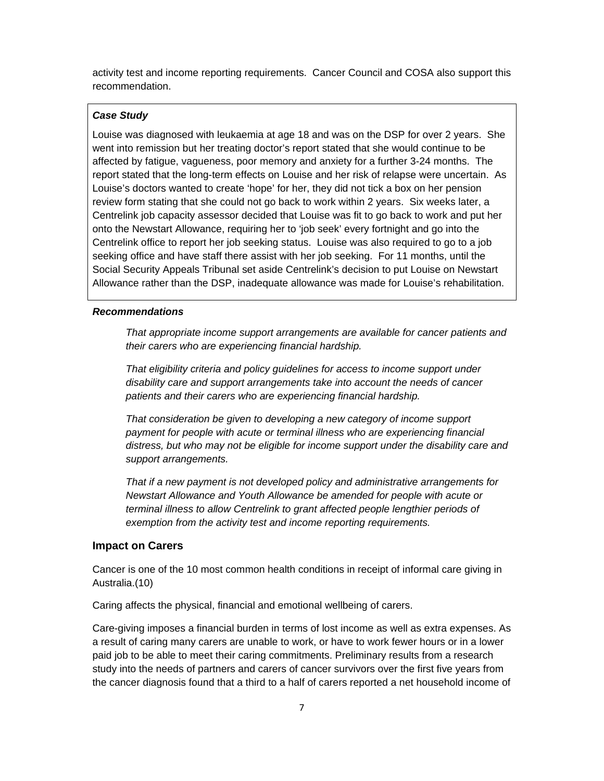activity test and income reporting requirements. Cancer Council and COSA also support this recommendation.

#### *Case Study*

Louise was diagnosed with leukaemia at age 18 and was on the DSP for over 2 years. She went into remission but her treating doctor's report stated that she would continue to be affected by fatigue, vagueness, poor memory and anxiety for a further 3-24 months. The report stated that the long-term effects on Louise and her risk of relapse were uncertain. As Louise's doctors wanted to create 'hope' for her, they did not tick a box on her pension review form stating that she could not go back to work within 2 years. Six weeks later, a Centrelink job capacity assessor decided that Louise was fit to go back to work and put her onto the Newstart Allowance, requiring her to 'job seek' every fortnight and go into the Centrelink office to report her job seeking status. Louise was also required to go to a job seeking office and have staff there assist with her job seeking. For 11 months, until the Social Security Appeals Tribunal set aside Centrelink's decision to put Louise on Newstart Allowance rather than the DSP, inadequate allowance was made for Louise's rehabilitation.

#### *Recommendations*

*That appropriate income support arrangements are available for cancer patients and their carers who are experiencing financial hardship.* 

*That eligibility criteria and policy guidelines for access to income support under disability care and support arrangements take into account the needs of cancer patients and their carers who are experiencing financial hardship.* 

*That consideration be given to developing a new category of income support payment for people with acute or terminal illness who are experiencing financial distress, but who may not be eligible for income support under the disability care and support arrangements.* 

*That if a new payment is not developed policy and administrative arrangements for Newstart Allowance and Youth Allowance be amended for people with acute or terminal illness to allow Centrelink to grant affected people lengthier periods of exemption from the activity test and income reporting requirements.* 

#### **Impact on Carers**

Cancer is one of the 10 most common health conditions in receipt of informal care giving in Australia.(10)

Caring affects the physical, financial and emotional wellbeing of carers.

Care-giving imposes a financial burden in terms of lost income as well as extra expenses. As a result of caring many carers are unable to work, or have to work fewer hours or in a lower paid job to be able to meet their caring commitments. Preliminary results from a research study into the needs of partners and carers of cancer survivors over the first five years from the cancer diagnosis found that a third to a half of carers reported a net household income of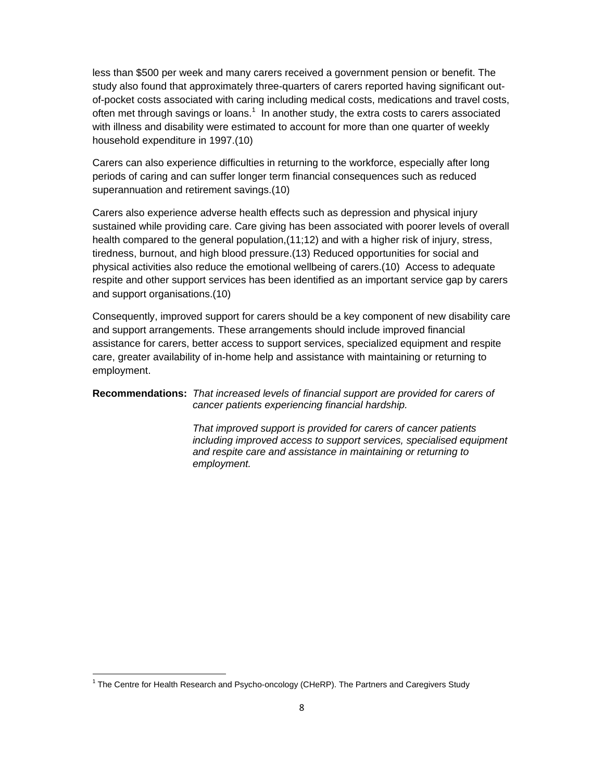less than \$500 per week and many carers received a government pension or benefit. The study also found that approximately three-quarters of carers reported having significant outof-pocket costs associated with caring including medical costs, medications and travel costs, often met through savings or loans. $<sup>1</sup>$  In another study, the extra costs to carers associated</sup> with illness and disability were estimated to account for more than one quarter of weekly household expenditure in 1997.(10)

Carers can also experience difficulties in returning to the workforce, especially after long periods of caring and can suffer longer term financial consequences such as reduced superannuation and retirement savings.(10)

Carers also experience adverse health effects such as depression and physical injury sustained while providing care. Care giving has been associated with poorer levels of overall health compared to the general population,  $(11;12)$  and with a higher risk of injury, stress, tiredness, burnout, and high blood pressure.(13) Reduced opportunities for social and physical activities also reduce the emotional wellbeing of carers.(10) Access to adequate respite and other support services has been identified as an important service gap by carers and support organisations.(10)

Consequently, improved support for carers should be a key component of new disability care and support arrangements. These arrangements should include improved financial assistance for carers, better access to support services, specialized equipment and respite care, greater availability of in-home help and assistance with maintaining or returning to employment.

#### **Recommendations:** *That increased levels of financial support are provided for carers of cancer patients experiencing financial hardship.*

 *That improved support is provided for carers of cancer patients including improved access to support services, specialised equipment and respite care and assistance in maintaining or returning to employment.* 

 $<sup>1</sup>$  The Centre for Health Research and Psycho-oncology (CHeRP). The Partners and Caregivers Study</sup>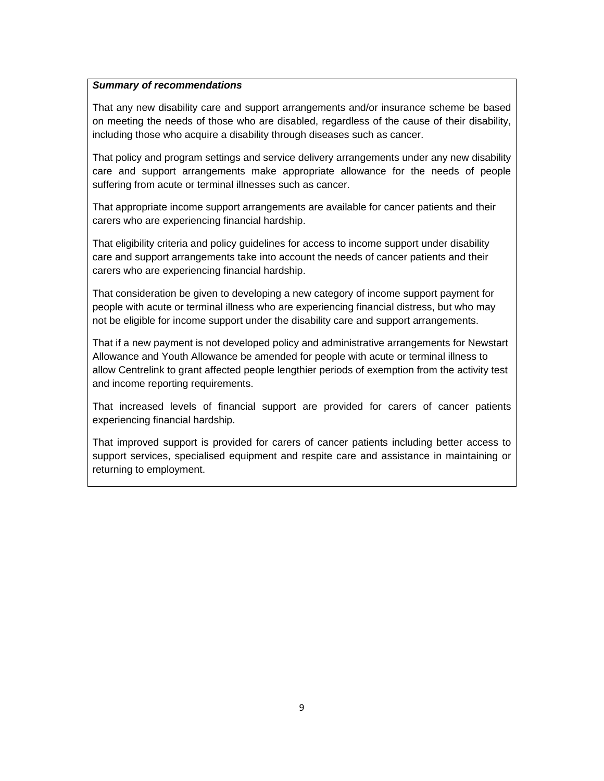#### *Summary of recommendations*

That any new disability care and support arrangements and/or insurance scheme be based on meeting the needs of those who are disabled, regardless of the cause of their disability, including those who acquire a disability through diseases such as cancer.

That policy and program settings and service delivery arrangements under any new disability care and support arrangements make appropriate allowance for the needs of people suffering from acute or terminal illnesses such as cancer.

That appropriate income support arrangements are available for cancer patients and their carers who are experiencing financial hardship.

That eligibility criteria and policy guidelines for access to income support under disability care and support arrangements take into account the needs of cancer patients and their carers who are experiencing financial hardship.

That consideration be given to developing a new category of income support payment for people with acute or terminal illness who are experiencing financial distress, but who may not be eligible for income support under the disability care and support arrangements.

That if a new payment is not developed policy and administrative arrangements for Newstart Allowance and Youth Allowance be amended for people with acute or terminal illness to allow Centrelink to grant affected people lengthier periods of exemption from the activity test and income reporting requirements.

That increased levels of financial support are provided for carers of cancer patients experiencing financial hardship.

That improved support is provided for carers of cancer patients including better access to support services, specialised equipment and respite care and assistance in maintaining or returning to employment.